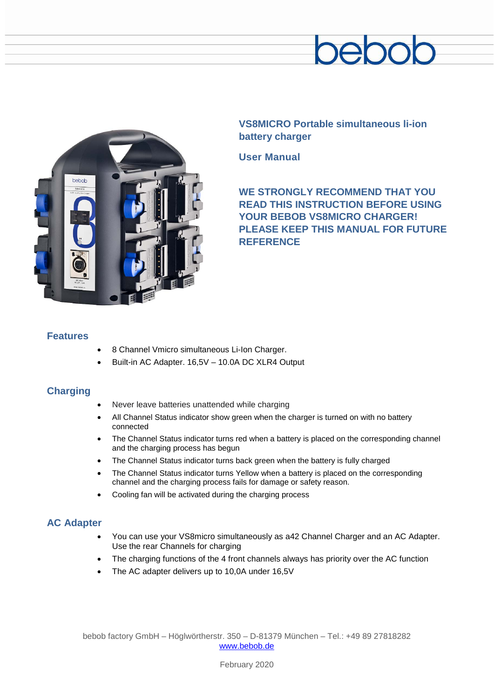



**VS8MICRO Portable simultaneous li-ion battery charger**

**User Manual**

**WE STRONGLY RECOMMEND THAT YOU READ THIS INSTRUCTION BEFORE USING YOUR BEBOB VS8MICRO CHARGER! PLEASE KEEP THIS MANUAL FOR FUTURE REFERENCE**

# **Features**

- 8 Channel Vmicro simultaneous Li-Ion Charger.
- Built-in AC Adapter. 16,5V 10.0A DC XLR4 Output

# **Charging**

- Never leave batteries unattended while charging
- All Channel Status indicator show green when the charger is turned on with no battery connected
- The Channel Status indicator turns red when a battery is placed on the corresponding channel and the charging process has begun
- The Channel Status indicator turns back green when the battery is fully charged
- The Channel Status indicator turns Yellow when a battery is placed on the corresponding channel and the charging process fails for damage or safety reason.
- Cooling fan will be activated during the charging process

# **AC Adapter**

- You can use your VS8micro simultaneously as a42 Channel Charger and an AC Adapter. Use the rear Channels for charging
- The charging functions of the 4 front channels always has priority over the AC function
- The AC adapter delivers up to 10,0A under 16,5V

bebob factory GmbH – Höglwörtherstr. 350 – D-81379 München – Tel.: +49 89 27818282 [www.bebob.de](http://www.bebob.de/)